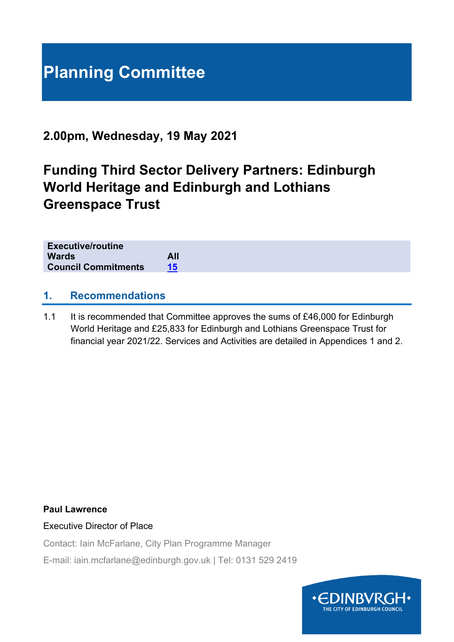# **Planning Committee**

# **2.00pm, Wednesday, 19 May 2021**

# **Funding Third Sector Delivery Partners: Edinburgh World Heritage and Edinburgh and Lothians Greenspace Trust**

| <b>Wards</b><br>All<br><b>Council Commitments</b><br>15 | <b>Executive/routine</b> |  |  |  |
|---------------------------------------------------------|--------------------------|--|--|--|
|                                                         |                          |  |  |  |
|                                                         |                          |  |  |  |

#### **1. Recommendations**

1.1 It is recommended that Committee approves the sums of £46,000 for Edinburgh World Heritage and £25,833 for Edinburgh and Lothians Greenspace Trust for financial year 2021/22. Services and Activities are detailed in Appendices 1 and 2.

#### **Paul Lawrence**

Executive Director of Place

Contact: Iain McFarlane, City Plan Programme Manager

E-mail: iain.mcfarlane@edinburgh.gov.uk | Tel: 0131 529 2419

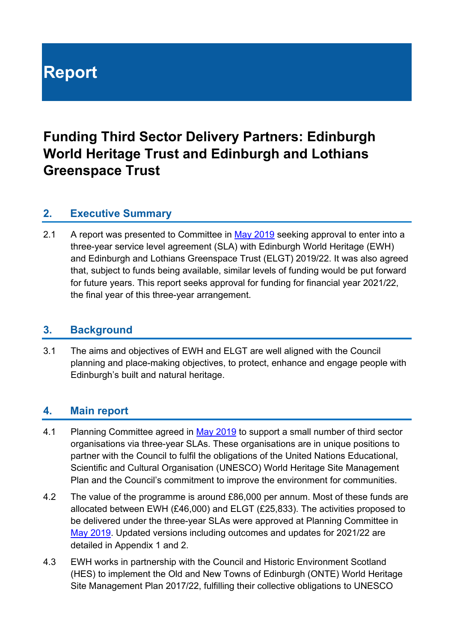# **Report**

# **Funding Third Sector Delivery Partners: Edinburgh World Heritage Trust and Edinburgh and Lothians Greenspace Trust**

#### **2. Executive Summary**

2.1 A report was presented to Committee in [May 2019](https://democracy.edinburgh.gov.uk/Data/Planning%20Committee/20190515/Agenda/item_83_-_funding_third_sector_delivery_partners_edinburgh_world_heritage_and_edinburgh_and_lothians_greenspace_trust.pdf) seeking approval to enter into a three-year service level agreement (SLA) with Edinburgh World Heritage (EWH) and Edinburgh and Lothians Greenspace Trust (ELGT) 2019/22. It was also agreed that, subject to funds being available, similar levels of funding would be put forward for future years. This report seeks approval for funding for financial year 2021/22, the final year of this three-year arrangement.

#### **3. Background**

3.1 The aims and objectives of EWH and ELGT are well aligned with the Council planning and place-making objectives, to protect, enhance and engage people with Edinburgh's built and natural heritage.

# **4. Main report**

- 4.1 Planning Committee agreed in [May 2019](https://democracy.edinburgh.gov.uk/Data/Planning%20Committee/20190515/Agenda/item_83_-_funding_third_sector_delivery_partners_edinburgh_world_heritage_and_edinburgh_and_lothians_greenspace_trust.pdf) to support a small number of third sector organisations via three-year SLAs. These organisations are in unique positions to partner with the Council to fulfil the obligations of the United Nations Educational, Scientific and Cultural Organisation (UNESCO) World Heritage Site Management Plan and the Council's commitment to improve the environment for communities.
- 4.2 The value of the programme is around £86,000 per annum. Most of these funds are allocated between EWH (£46,000) and ELGT (£25,833). The activities proposed to be delivered under the three-year SLAs were approved at Planning Committee in [May 2019.](https://democracy.edinburgh.gov.uk/Data/Planning%20Committee/20190515/Agenda/item_83_-_funding_third_sector_delivery_partners_edinburgh_world_heritage_and_edinburgh_and_lothians_greenspace_trust.pdf) Updated versions including outcomes and updates for 2021/22 are detailed in Appendix 1 and 2.
- 4.3 EWH works in partnership with the Council and Historic Environment Scotland (HES) to implement the Old and New Towns of Edinburgh (ONTE) World Heritage Site Management Plan 2017/22, fulfilling their collective obligations to UNESCO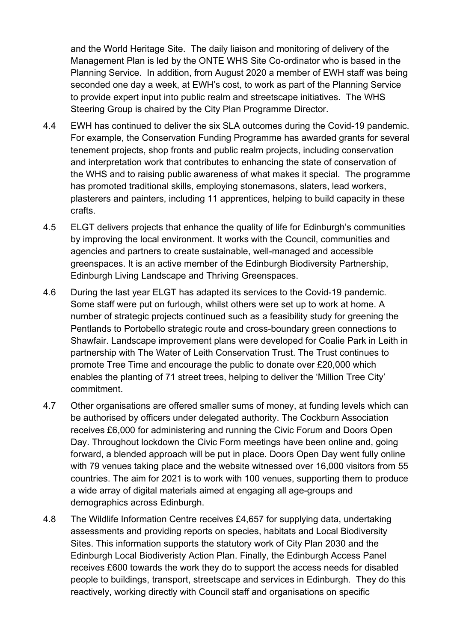and the World Heritage Site. The daily liaison and monitoring of delivery of the Management Plan is led by the ONTE WHS Site Co-ordinator who is based in the Planning Service. In addition, from August 2020 a member of EWH staff was being seconded one day a week, at EWH's cost, to work as part of the Planning Service to provide expert input into public realm and streetscape initiatives. The WHS Steering Group is chaired by the City Plan Programme Director.

- 4.4 EWH has continued to deliver the six SLA outcomes during the Covid-19 pandemic. For example, the Conservation Funding Programme has awarded grants for several tenement projects, shop fronts and public realm projects, including conservation and interpretation work that contributes to enhancing the state of conservation of the WHS and to raising public awareness of what makes it special. The programme has promoted traditional skills, employing stonemasons, slaters, lead workers, plasterers and painters, including 11 apprentices, helping to build capacity in these crafts.
- 4.5 ELGT delivers projects that enhance the quality of life for Edinburgh's communities by improving the local environment. It works with the Council, communities and agencies and partners to create sustainable, well-managed and accessible greenspaces. It is an active member of the Edinburgh Biodiversity Partnership, Edinburgh Living Landscape and Thriving Greenspaces.
- 4.6 During the last year ELGT has adapted its services to the Covid-19 pandemic. Some staff were put on furlough, whilst others were set up to work at home. A number of strategic projects continued such as a feasibility study for greening the Pentlands to Portobello strategic route and cross-boundary green connections to Shawfair. Landscape improvement plans were developed for Coalie Park in Leith in partnership with The Water of Leith Conservation Trust. The Trust continues to promote Tree Time and encourage the public to donate over £20,000 which enables the planting of 71 street trees, helping to deliver the 'Million Tree City' commitment.
- 4.7 Other organisations are offered smaller sums of money, at funding levels which can be authorised by officers under delegated authority. The Cockburn Association receives £6,000 for administering and running the Civic Forum and Doors Open Day. Throughout lockdown the Civic Form meetings have been online and, going forward, a blended approach will be put in place. Doors Open Day went fully online with 79 venues taking place and the website witnessed over 16,000 visitors from 55 countries. The aim for 2021 is to work with 100 venues, supporting them to produce a wide array of digital materials aimed at engaging all age-groups and demographics across Edinburgh.
- 4.8 The Wildlife Information Centre receives £4,657 for supplying data, undertaking assessments and providing reports on species, habitats and Local Biodiversity Sites. This information supports the statutory work of City Plan 2030 and the Edinburgh Local Biodiveristy Action Plan. Finally, the Edinburgh Access Panel receives £600 towards the work they do to support the access needs for disabled people to buildings, transport, streetscape and services in Edinburgh. They do this reactively, working directly with Council staff and organisations on specific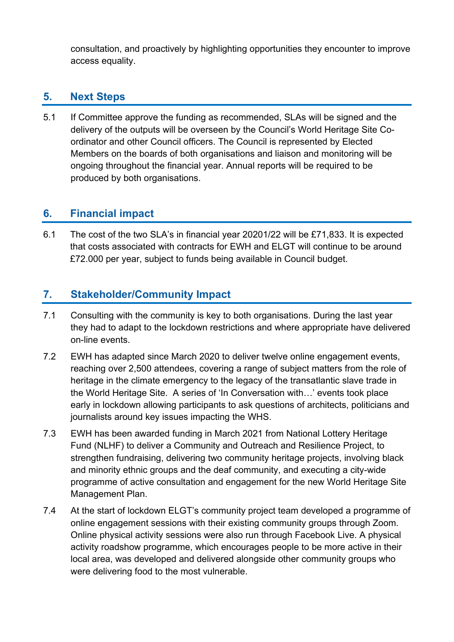consultation, and proactively by highlighting opportunities they encounter to improve access equality.

# **5. Next Steps**

5.1 If Committee approve the funding as recommended, SLAs will be signed and the delivery of the outputs will be overseen by the Council's World Heritage Site Coordinator and other Council officers. The Council is represented by Elected Members on the boards of both organisations and liaison and monitoring will be ongoing throughout the financial year. Annual reports will be required to be produced by both organisations.

### **6. Financial impact**

6.1 The cost of the two SLA's in financial year 20201/22 will be £71,833. It is expected that costs associated with contracts for EWH and ELGT will continue to be around £72.000 per year, subject to funds being available in Council budget.

# **7. Stakeholder/Community Impact**

- 7.1 Consulting with the community is key to both organisations. During the last year they had to adapt to the lockdown restrictions and where appropriate have delivered on-line events.
- 7.2 EWH has adapted since March 2020 to deliver twelve online engagement events, reaching over 2,500 attendees, covering a range of subject matters from the role of heritage in the climate emergency to the legacy of the transatlantic slave trade in the World Heritage Site. A series of 'In Conversation with…' events took place early in lockdown allowing participants to ask questions of architects, politicians and journalists around key issues impacting the WHS.
- 7.3 EWH has been awarded funding in March 2021 from National Lottery Heritage Fund (NLHF) to deliver a Community and Outreach and Resilience Project, to strengthen fundraising, delivering two community heritage projects, involving black and minority ethnic groups and the deaf community, and executing a city-wide programme of active consultation and engagement for the new World Heritage Site Management Plan.
- 7.4 At the start of lockdown ELGT's community project team developed a programme of online engagement sessions with their existing community groups through Zoom. Online physical activity sessions were also run through Facebook Live. A physical activity roadshow programme, which encourages people to be more active in their local area, was developed and delivered alongside other community groups who were delivering food to the most vulnerable.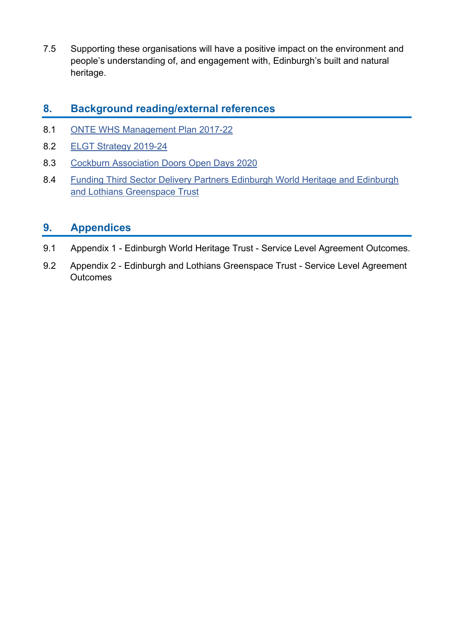7.5 Supporting these organisations will have a positive impact on the environment and people's understanding of, and engagement with, Edinburgh's built and natural heritage.

### **8. Background reading/external references**

- 8.1 [ONTE WHS Management Plan 2017-22](https://ewh.org.uk/plan/)
- 8.2 [ELGT Strategy 2019-24](http://www.elgt.org.uk/about-us/publications/)
- 8.3 [Cockburn Association Doors Open Days 2020](https://www.cockburnassociation.org.uk/doorsopendays/)
- 8.4 [Funding Third Sector Delivery Partners Edinburgh World Heritage and](https://democracy.edinburgh.gov.uk/Data/Planning%20Committee/20190515/Agenda/item_83_-_funding_third_sector_delivery_partners_edinburgh_world_heritage_and_edinburgh_and_lothians_greenspace_trust.pdf) Edinburgh [and Lothians Greenspace Trust](https://democracy.edinburgh.gov.uk/Data/Planning%20Committee/20190515/Agenda/item_83_-_funding_third_sector_delivery_partners_edinburgh_world_heritage_and_edinburgh_and_lothians_greenspace_trust.pdf)

#### **9. Appendices**

- 9.1 Appendix 1 Edinburgh World Heritage Trust Service Level Agreement Outcomes.
- 9.2 Appendix 2 Edinburgh and Lothians Greenspace Trust Service Level Agreement **Outcomes**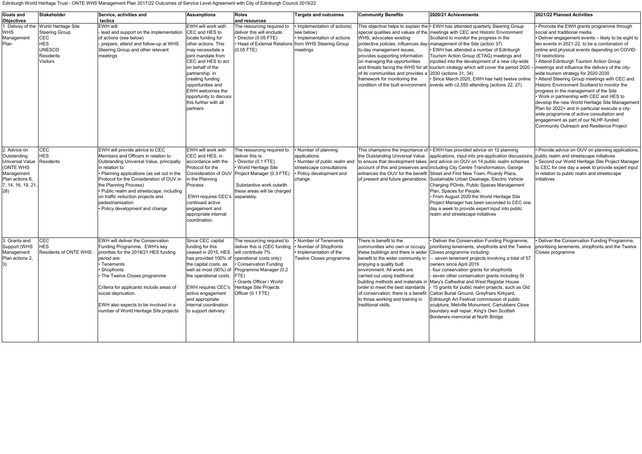Edinburgh World Heritage Trust - ONTE WHS Management Plan 2017/22 Outcomes of Service Level Agreement with City of Edinburgh Council 2019/22

| <b>Goals and</b>                                                                                                                     | <b>Stakeholder</b>                                                                                                               | Service, activities and                                                                                                                                                                                                                                                                                                                                                                                  | <b>Assumptions</b>                                                                                                                                                                                                                                                                                                          | <b>Roles</b>                                                                                                                                                                                                                                                                    | <b>Targets and outcomes</b>                                                                                                                | <b>Community Benefits</b>                                                                                                                                                                                                                                                                                                                                            | 2020/21 Achievements                                                                                                                                                                                                                                                                                                                                                                                                                                                                                                                                                                                                                                                                                                                                                                                               | 2021/22 Planned Activities                                                                                                                                                                                                                                                                                                                                                                                                                                                                                                                                                                                                                                                                                                                                                                                                         |
|--------------------------------------------------------------------------------------------------------------------------------------|----------------------------------------------------------------------------------------------------------------------------------|----------------------------------------------------------------------------------------------------------------------------------------------------------------------------------------------------------------------------------------------------------------------------------------------------------------------------------------------------------------------------------------------------------|-----------------------------------------------------------------------------------------------------------------------------------------------------------------------------------------------------------------------------------------------------------------------------------------------------------------------------|---------------------------------------------------------------------------------------------------------------------------------------------------------------------------------------------------------------------------------------------------------------------------------|--------------------------------------------------------------------------------------------------------------------------------------------|----------------------------------------------------------------------------------------------------------------------------------------------------------------------------------------------------------------------------------------------------------------------------------------------------------------------------------------------------------------------|--------------------------------------------------------------------------------------------------------------------------------------------------------------------------------------------------------------------------------------------------------------------------------------------------------------------------------------------------------------------------------------------------------------------------------------------------------------------------------------------------------------------------------------------------------------------------------------------------------------------------------------------------------------------------------------------------------------------------------------------------------------------------------------------------------------------|------------------------------------------------------------------------------------------------------------------------------------------------------------------------------------------------------------------------------------------------------------------------------------------------------------------------------------------------------------------------------------------------------------------------------------------------------------------------------------------------------------------------------------------------------------------------------------------------------------------------------------------------------------------------------------------------------------------------------------------------------------------------------------------------------------------------------------|
| <b>Objectives</b><br>1. Delivey of the<br><b>WHS</b><br>Management<br>Plan                                                           | <b>World Heritage Site</b><br><b>Steering Group</b><br>CEC<br><b>IES</b><br><b>UNESCO</b><br><b>Residents</b><br><b>Visitors</b> | tactics<br>EWH will:<br>lead and support on the implementation<br>of actions (see below)<br>prepare, attend and follow-up at WHS .<br>Steering Group and other relevant<br>meetings                                                                                                                                                                                                                      | EWH will work with<br>CEC and HES to<br>locate funding for<br>other actions. This<br>may necessitate a<br>joint mandate from<br>CEC and HES to act<br>on behalf of the<br>partnership in<br>creating funding<br>opportunities and<br><b>EWH</b> welcomes the<br>opportunity to discuss<br>this further with all<br>partners | land resources<br>The resourcing required to<br>deliver this will enclude:<br>• Director (0.05 FTE)<br>• Head of External Relations<br>(0.05 FTE)                                                                                                                               | Implementation of actions(<br>see below)<br>• Implementation of actions<br>from WHS Steering Group<br>meetings                             | WHS, advocates existing<br>to-day management issues,<br>provides supporting information<br>on managing the opportunities<br>of its communities and provides a $ 2030$ (actions 31, 34)<br>framework for monitoring the                                                                                                                                               | This objective helps to explain the│• EWH has attended quarterly Steering Group<br>special qualities and values of the  meetings with CEC and Historic Environment<br>Scotland to monitor the progress in the<br>protective policies, influences day- management of the Site (action 37)<br>$\cdot$ EWH has attended a number of Edinburgh<br>Tourism Action Group (ETAG) meetings and<br>inputted into the development of a new city-wide<br>and threats facing the WHS for all tourism strategy which will cover the period 2020<br>Since March 2020, EWH has held twelve online<br>condition of the built environment. events with $c2,550$ attending (actions 22, 27)                                                                                                                                          | • Promote the EWH grants programme through<br>social and traditional media<br>• Deliver engagement events - likely to be eight to<br>ten events in 2021-22, to be a combination of<br>online and physical events depending on COVID-<br>19 restrictions<br><b>Attend Edinburgh Tourism Action Group</b><br>Imeetings and influence the delivery of the city-<br>wide tourism strategy for 2020-2030<br>Attend Steering Group meetings with CEC and<br>Historic Environment Scotland to monitor the<br>progress in the management of the Site<br>• Work in partnership with CEC and HES to<br>develop the new World Heritage Site Management<br>Plan for 2022+ and in particular execute a city-<br>wide programme of active consultation and<br>engagement as part of our NLHF-funded<br>Community Outreach and Resilience Project |
| 2. Advice on<br>Outstanding<br>Universal Value Residents<br>(ONTE WHS<br>Management<br>Plan actions 6,<br>7, 14, 16, 19, 21,<br>(28) | CEC<br><b>HES</b>                                                                                                                | EWH will provide advice to CEC<br>Members and Officers in relation to<br><b>Outstanding Universal Value, principally</b><br>in relation to:<br>• Planning applications (as set out in the<br>Protocol for the Consideration of OUV in<br>the Planning Process)<br>• Public realm and streetscape, including<br>on traffic reduction projects and<br>pedestrianisation<br>• Policy development and change | <b>EWH will work with</b><br>CEC and HES, in<br>accordance with the<br>Protocol for the<br><b>Consideration of OUV</b><br>In the Planning<br>Process.<br>EWH requires CEC's Separately.<br>continued active<br>engagement and<br>appropriate internal<br>coordination.                                                      | The resourcing required to<br>deliver this is:<br>• Director (0.1 FTE)<br>• World Heritage Site<br>Project Manager (0.3 FTE)<br>Substantive work outwith<br>these areas will be charged                                                                                         | Number of planning<br>applications<br>• Number of public realm and<br>streetscape consultations<br><b>Policy development and</b><br>change |                                                                                                                                                                                                                                                                                                                                                                      | This champions the importance of $\cdot$ EWH has provided advice on 12 planning<br>the Outstanding Universal Value  applications, input into pre-application discussions, public realm and streetscape initiatives<br>to ensure that development takes and advice on OUV on 14 public realm schemes<br>account of this and preserves and including City Centre Transformation, George<br>enhances the OUV for the benefit Street and First New Town, Picardy Place,<br>of present and future generations. Sustainable Urban Deainage, Electric Vehicle<br>Charging POints, Public Spaces Management<br>Plan, Spaces for People.<br>From August 2020 the World Heritage Site<br>Project Manager has been seconded to CEC one<br>day a week to provide expert input into public<br>realm and streetscape initiatives | • Provide advice on OUV on planning applications,<br>• Second our World Heritage Site Project Manager<br>to CEC for one day a week to provide expert input<br>in relation to public realm and streetscape<br>linitiatives                                                                                                                                                                                                                                                                                                                                                                                                                                                                                                                                                                                                          |
| 3. Grants and<br>Support (WHS<br>Management<br>Plan actions 2,                                                                       | <b>CEC</b><br><b>HES</b><br><b>Residents of ONTE WHS</b>                                                                         | <b>EWH will deliver the Conservation</b><br>Funding Programme. EWH's key<br>priorities for the 2018/21 HES funding<br>period are:<br>Tenements<br>• Shopfronts<br>• The Twelve Closes programme<br>Criteria for applicants include areas of<br>social deprivation.<br>EWH also expects to be involved in a<br>number of World Heritage Site projects                                                     | Since CEC capital<br>funding for this<br>ceased in 2015, HES will contribute 7%<br>the capital costs, as<br>the operational costs.<br><b>EWH requires CEC's</b><br>active engagement<br>and appropriate<br>internal coordination<br>to support delivery.                                                                    | The resourcing required to<br>deliver this is (CEC funding<br>has provided 100% of operational costs only):<br>• Conservation Funding<br>well as most (90%) of Programme Manager (0.2<br>FTE)<br>• Grants Officer / World<br><b>Heritage Site Projects</b><br>Officer (0.1 FTE) | Number of Tenements<br>• Number of Shopfronts<br>. Implementation of the<br><b>Twelve Closes programme</b>                                 | There is benefit to the<br>communities who own or occupy<br>these buildings and there is wider<br>benefit to the wider community in<br>enjoying a quality built<br>environment. All works are<br>carried out using traditional<br>order to meet the best standards<br>of conservation; there is a benefit<br>to those working and training in<br>traditional skills. | • Deliver the Conservation Funding Programme,<br>prioritising tenements, shopfronts and the Twelve<br>Closes programme including:<br>seven tenement projects involving a total of 57<br>owners since April 2019<br>- four conservation grants for shopfronts<br>- seven other conservation grants including St<br>building methods and materials in Mary's Cathedral and West Registar House<br>- 15 grants for public realm projects, such as Old<br>Calton Burial Ground, Greyfriars Kirkyard,<br>Edinburgh Art Festival commission of public<br>sculpture, Melville Monument, Carrubbers Close<br>boundary wall repair, King's Own Scottish<br>Borderers memorial at North Bridge                                                                                                                               | <b>Deliver the Conservation Funding Programme,</b><br>prioritising tenements, shopfronts and the Twelve<br>Closes programme                                                                                                                                                                                                                                                                                                                                                                                                                                                                                                                                                                                                                                                                                                        |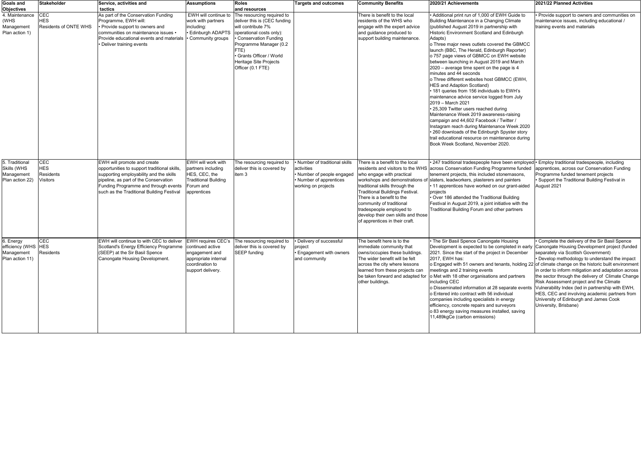| <b>Goals and</b>                                                   | Stakeholder                                              | Service, activities and                                                                                                                                                                                                                                            | <b>Assumptions</b>                                                                                                              | <b>Roles</b>                                                                                                                                                                                                                                                    | <b>Targets and outcomes</b>                                                                                                                      | <b>Community Benefits</b>                                                                                                                                                                                                                                                                                   | 2020/21 Achievements                                                                                                                                                                                                                                                                                                                                                                                                                                                                                                                                                                                                                                                                                                                                                                                                                                                                                                                                                                                           | 2021/22 Planned Activities                                                                                                                                                                                                                                                                                                                                                                                                                                                                                                |
|--------------------------------------------------------------------|----------------------------------------------------------|--------------------------------------------------------------------------------------------------------------------------------------------------------------------------------------------------------------------------------------------------------------------|---------------------------------------------------------------------------------------------------------------------------------|-----------------------------------------------------------------------------------------------------------------------------------------------------------------------------------------------------------------------------------------------------------------|--------------------------------------------------------------------------------------------------------------------------------------------------|-------------------------------------------------------------------------------------------------------------------------------------------------------------------------------------------------------------------------------------------------------------------------------------------------------------|----------------------------------------------------------------------------------------------------------------------------------------------------------------------------------------------------------------------------------------------------------------------------------------------------------------------------------------------------------------------------------------------------------------------------------------------------------------------------------------------------------------------------------------------------------------------------------------------------------------------------------------------------------------------------------------------------------------------------------------------------------------------------------------------------------------------------------------------------------------------------------------------------------------------------------------------------------------------------------------------------------------|---------------------------------------------------------------------------------------------------------------------------------------------------------------------------------------------------------------------------------------------------------------------------------------------------------------------------------------------------------------------------------------------------------------------------------------------------------------------------------------------------------------------------|
| Objectives                                                         |                                                          | tactics                                                                                                                                                                                                                                                            |                                                                                                                                 | and resources                                                                                                                                                                                                                                                   |                                                                                                                                                  |                                                                                                                                                                                                                                                                                                             |                                                                                                                                                                                                                                                                                                                                                                                                                                                                                                                                                                                                                                                                                                                                                                                                                                                                                                                                                                                                                |                                                                                                                                                                                                                                                                                                                                                                                                                                                                                                                           |
| 4. Maintenance<br>(WHS<br>Management<br>Plan action 1)             | <b>CEC</b><br><b>Residents of ONTE WHS</b>               | As part of the Conservation Funding<br>Programme, EWH will:<br>Provide support to owners and<br>communities on maintenance issues •<br>Provide educational events and materials   Community groups<br><b>Deliver training events</b>                               | EWH will continue to<br>work with partners<br>including:<br><b>Edinburgh ADAPTS</b>                                             | The resourcing required to<br>deliver this is (CEC funding<br>will contribute 7%<br>operational costs only):<br><b>Conservation Funding</b><br>Programme Manager (0.2<br>FTE)<br>· Grants Officer / World<br><b>Heritage Site Projects</b><br>Officer (0.1 FTE) |                                                                                                                                                  | There is benefit to the local<br>residents of the WHS who<br>engage with the expert advice<br>and guidance produced to<br>support building maintenance.                                                                                                                                                     | • Additional print run of 1,000 of EWH Guide to<br>Building Maintenance in a Changing Climate<br>(published August 2019 in partnership with<br><b>Historic Environment Scotland and Edinburgh</b><br>Adapts)<br>o Three major news outlets covered the GBMCC<br>launch (BBC, The Herald, Edinburgh Reporter)<br>o 757 page views of GBMCC on EWH website<br>between launching in August 2019 and March<br>2020 – average time spent on the page is 4<br>minutes and 44 seconds<br>o Three different websites host GBMCC (EWH,<br><b>HES and Adaption Scotland)</b><br>181 queries from 156 individuals to EWH's<br>maintenance advice service logged from July<br>2019 – March 2021<br>• 25,309 Twitter users reached during<br>Maintenance Week 2019 awareness-raising<br>campaign and 44,602 Facebook / Twitter /<br>Instagram reach during Maintenance Week 2020<br>• 260 downloads of the Edinburgh Spyster story<br>trail educational resource on maintenance during<br>Book Week Scotland, November 2020 | • Provide support to owners and communities on<br>maintenance issues, including educational /<br>training events and materials                                                                                                                                                                                                                                                                                                                                                                                            |
| 5. Traditional<br>Skills (WHS<br>Management<br>Plan action 22)     | <b>CEC</b><br><b>HES</b><br>Residents<br><b>Visitors</b> | <b>EWH will promote and create</b><br>opportunities to support traditional skills,<br>supporting employability and the skills<br>pipeline, as part of the Conservation<br><b>Funding Programme and through events</b><br>such as the Traditional Building Festival | <b>EWH will work with</b><br>partners including<br>HES, CEC, the<br><b>Traditional Building</b><br>Forum and<br>apprentices     | The resourcing required to<br>deliver this is covered by<br>item 3                                                                                                                                                                                              | Number of traditional skills<br>activities<br>Number of people engaged who engage with practical<br>Number of apprentices<br>working on projects | There is a benefit to the local<br>workshops and demonstrations of<br>traditional skills through the<br><b>Traditional Buildings Festival.</b><br>There is a benefit to the<br>community of traditional<br>tradespeople employed to<br>develop their own skills and those<br>of apprentices in their craft. | $\cdot$ 247 traditional tradespeople have been employed $\cdot$ Employ traditional tradespeople, including<br>residents and visitors to the WHS across Conservation Funding Programme funded  apprentices, across our Conservation Funding<br>tenement projects, this included stonemasons,<br>slaters, leadworkers, plasterers and painters<br>• 11 apprentices have worked on our grant-aided<br>projects<br>• Over 186 attended the Traditional Building<br>Festival in August 2019, a joint initiative with the<br>Traditional Building Forum and other partners                                                                                                                                                                                                                                                                                                                                                                                                                                           | Programme funded tenement projects<br>• Support the Traditional Building Festival in<br>August 2021                                                                                                                                                                                                                                                                                                                                                                                                                       |
| 6. Energy<br>efficiency (WHS  HES<br>Management<br>Plan action 11) | <b>CEC</b><br>Residents                                  | EWH will continue to with CEC to deliver<br>Scotland's Energy Efficiency Programme<br>(SEEP) at the Sir Basil Spence<br><b>Canongate Housing Development.</b>                                                                                                      | <b>EWH requires CEC's</b><br>continued active<br>engagement and<br>appropriate internal<br>coordination to<br>support delivery. | The resourcing required to<br>deliver this is covered by<br><b>SEEP funding</b>                                                                                                                                                                                 | Delivery of successful<br>project<br>Engagement with owners<br>and community                                                                     | The benefit here is to the<br>Immediate community that<br>owns/occupies these buildings.<br>The wider benefit will be felt<br>across the city where lessons<br>learned from these projects can<br>be taken forward and adapted for<br>other buildings.                                                      | • The Sir Basil Spence Canongate Housing<br>Development is expected to be completed in early<br>2021. Since the start of the project in December<br>2017, EWH has:<br>o Engaged with 51 owners and tenants, holding 22 of climate change on the historic built environment<br>meetings and 2 training events<br>Met with 18 other organisations and partners<br>including CEC<br>o Disseminated information at 28 separate events<br>o Entered into contract with 56 individual<br>companies including specialists in energy<br>efficiency, concrete repairs and surveyors<br>o 83 energy saving measures installed, saving<br>11,489kgCe (carbon emissions)                                                                                                                                                                                                                                                                                                                                                   | • Complete the delivery of the Sir Basil Spence<br>Canongate Housing Development project (funded<br>separately via Scottish Government)<br>• Develop methodology to understand the impact<br>in order to inform mitigation and adaptation across<br>the sector through the delivery of Climate Change<br>Risk Assessment project and the Climate<br>Vulnerability Index (led in partnership with EWH,<br>HES, CEC and involving academic partners from<br>University of Edinburgh and James Cook<br>University, Brisbane) |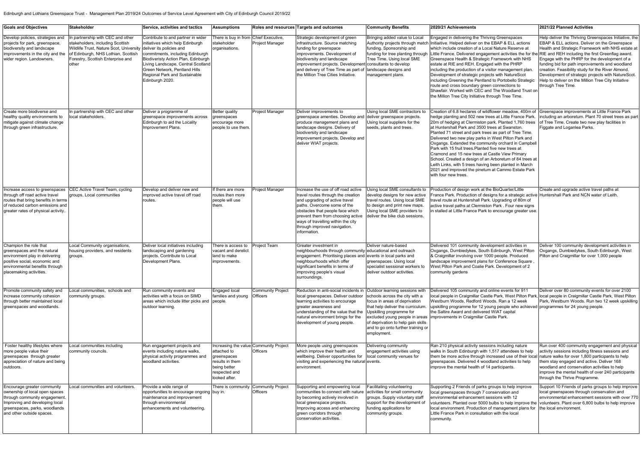| <b>Goals and Objectives</b>                                                                                                                                                                    | Stakeholder                                                                                                                                                                                                                    | <b>Service, activities and tactics</b>                                                                                                                                                                                                                                                            | <b>Assumptions</b>                                                                                                                        |                                             | Roles and resources Targets and outcomes                                                                                                                                                                                                                                                                   | <b>Community Benefits</b>                                                                                                                                                                                                                                                                         | 2020/21 Achievements                                                                                                                                                                                                                                                                                                                                                                                                                                                                                                                                                                                                                                                                                                                                                                                                                                                          | 2021/22 Planned Activities                                                                                                                                                                                                                                                                                                                                                                                                                                        |
|------------------------------------------------------------------------------------------------------------------------------------------------------------------------------------------------|--------------------------------------------------------------------------------------------------------------------------------------------------------------------------------------------------------------------------------|---------------------------------------------------------------------------------------------------------------------------------------------------------------------------------------------------------------------------------------------------------------------------------------------------|-------------------------------------------------------------------------------------------------------------------------------------------|---------------------------------------------|------------------------------------------------------------------------------------------------------------------------------------------------------------------------------------------------------------------------------------------------------------------------------------------------------------|---------------------------------------------------------------------------------------------------------------------------------------------------------------------------------------------------------------------------------------------------------------------------------------------------|-------------------------------------------------------------------------------------------------------------------------------------------------------------------------------------------------------------------------------------------------------------------------------------------------------------------------------------------------------------------------------------------------------------------------------------------------------------------------------------------------------------------------------------------------------------------------------------------------------------------------------------------------------------------------------------------------------------------------------------------------------------------------------------------------------------------------------------------------------------------------------|-------------------------------------------------------------------------------------------------------------------------------------------------------------------------------------------------------------------------------------------------------------------------------------------------------------------------------------------------------------------------------------------------------------------------------------------------------------------|
| Develop policies, strategies and<br>projects for park, greenspace,<br>biodiversity and landscape<br>improvements in the city and the<br>wider region. Landowners.                              | In partnership with CEC and other<br>stakeholders, including Scottish<br>Wildlife Trust, Nature Scot, University deliver its policies and<br>of Edinburgh, NHS Lothian, Scottish<br>Forestry, Scottish Enterprise and<br>other | Contribute to and partner in wider<br>initiatives which help Edinburgh<br>commitments, including Edinburgh<br><b>Biodiveristy Action Plan, Edinburgh</b><br>Living Landscape, Central Scotland<br><b>Green Network, Pentland Hills</b><br><b>Regional Park and Sustainable</b><br>Edinburgh 2020. | There is buy in from Chief Executive,<br>stakeholder<br>organisations.                                                                    | Project Manager                             | Strategic development of green<br>infrastructure. Source matching<br>funding for greenspace<br>improvements. Development of<br>biodiversity and landscape<br>improvement projects. Development<br>and delivery of Tree Time as part of landscape designs and<br>the Million Tree Cities Initiative.        | Bringing added value to Local<br>funding. Sponsorship and<br>Tree Time. Using local SME<br>consultants to develop<br>management plans.                                                                                                                                                            | Engaged in delivering the Thriving Greenspaces<br>Authority projects through match Initiaitive. Helped deliver on the EBAP & ELL actions<br>Iwhich include creation of a Local Nature Reserve at<br>funding for tree planting through   Little France. Delivered engagement activities the for the RIE and REH including the first Greenflag award.<br><b>Greenspace Health &amp; Strategic Framework with NHS</b><br>estate at RIE and REH. Engaged with the PHRP<br>including the production of a visitor management plan.<br>Development of strategic projects with NatureScot<br>including Greening the Pentland to Portobello Strategic<br>route and cross boundary green connections to<br>Shawfair. Worked with CEC and The Woodland Trust on<br>the Million Tree City Initiative through Tree Time.                                                                   | Help deliver the Thriving Greenspaces Initiative, the<br><b>EBAP &amp; ELL actions. Deliver on the Greenspace</b><br>Health and Strategic Framework with NHS estate at<br>Engage with the PHRP for the development of a<br>funding bid for path improvements and woodland<br>creation. Feasibility study for the River Almond.<br>Development of strategic projects with NatureScot.<br>Help to deliver on the Million Tree City Initiative<br>through Tree Time. |
| Create more biodiverse and<br>healthy quality environments to<br>mitigate against climate change<br>through green infrastructure.                                                              | In partnership with CEC and other<br>local stakeholders.                                                                                                                                                                       | Deliver a programme of<br>greenspace improvements across<br>Edinburgh to aid the Locality<br>Improvement Plans.                                                                                                                                                                                   | <b>Better quality</b><br>greenspaces<br>encourage more<br>people to use them.                                                             | <b>Project Manager</b>                      | Deliver improvements to<br>greenspace amenties. Develop and<br>produce management plans and<br>landscape designs. Delivery of<br>biodiversity and landscape<br>improvement projects. Develop and<br>deliver WIAT projects.                                                                                 | Using local SME contractors to<br>deliver greenspace projects.<br>Using local suppliers for the<br>seeds, plants and trees.                                                                                                                                                                       | Creation of 6.8 hectares of wildflower meadow, 400m of   Greenspace improvements at Little France Park<br>hedge planting and 502 new trees at Little France Park.  including an arboretum. Plant 70 street trees as part<br>20m of hedging at Clermiston park. Planted 1,760 trees   of Tree Time. Create two new play facilities in<br>at Huntershall Park and 3500 trees at Swanston.<br>Planted 71 street and park trees as part of Tree Time.<br>Delivered two new play parks in West Pilton Park and<br>Oxgangs. Extended the community orchard in Campbell<br>Park with 15 fruit trees. Planted five new trees at<br>Cramond and 15 new trees at Castle View Primary<br>School. Created a design of an Arboretum of 84 trees at<br>Leith Links, with 5 trees having been planted in March<br>2021 and improved the pinetum at Cammo Estate Park<br>with four new trees. | Figgate and Loganlea Parks.                                                                                                                                                                                                                                                                                                                                                                                                                                       |
| Increase access to greenspaces<br>through off road active travel<br>routes that bring benefits in terms<br>of reduced carbon emissions and<br>greater rates of physical activity.              | CEC Active Travel Team, cycling<br>groups, Local communities                                                                                                                                                                   | Develop and deliver new and<br>improved active travel off road<br>routes.                                                                                                                                                                                                                         | f there are more<br>routes then more<br>people will use<br>them.                                                                          | <b>Project Manager</b>                      | Increase the use of off road active<br>travel routes through the creation<br>and upgrading of active travel<br>Ipaths. Overcome some of the<br>obstacles that people face which<br>prevent them from choosing active<br>ways of travelling within the city<br>through improved navigation.<br>information. | Using local SME consultants to<br>develop designs for new active<br>travel routes. Using local SME<br>to design and print new maps.<br>Using local SME providers to<br>deliver the bike club sessions.                                                                                            | Production of design work at the BioQuarter/Little<br>France Park. Production of designs for a strategic active  Huntershall Park and NCN water of Leith.<br>ravel route at Huntershall Park. Upgrading of 80m of<br>active travel paths at Clermiston Park . Four new signs<br>in stalled at Little France Park to encourage greater use.                                                                                                                                                                                                                                                                                                                                                                                                                                                                                                                                    | Create and upgrade active travel paths at                                                                                                                                                                                                                                                                                                                                                                                                                         |
| Champion the role that<br>greenspaces and the natural<br>environment play in delivering<br>positive social, economic and<br>environmental benefits through<br>placemaking activities.          | Local Community organisations,<br>housing providers, and residents<br>groups.                                                                                                                                                  | Deliver local initiatives including<br>landscaping and gardening<br>projects. Contribute to Local<br>Development Plans.                                                                                                                                                                           | There is access to<br>vacant and derelict<br>land to make<br>improvements.                                                                | <b>Project Team</b>                         | Greater investment in<br>neighbourhoods through community educational and outreach<br>engagement. Prioritising places and events in local parks and<br>neighbourhoods which offer<br>significant benefits in terms of<br>improving people's visual<br>surroundings.                                        | Deliver nature-based<br>greenspaces. Using local<br>specialist sessional workers to<br>deliver outdoor activities.                                                                                                                                                                                | Delivered 101 community development activities in<br>Oxgangs, Dumbiedykes, South Edinburgh, West Pilton<br>& Craigmillar involving over 1000 people. Produced<br>landscape improvement plans for Conference Square<br>West Pilton Park and Coalie Park. Development of 2<br>community gardens                                                                                                                                                                                                                                                                                                                                                                                                                                                                                                                                                                                 | Deliver 100 community development activities in<br>Oxgangs, Dumbiedykes, South Edinburgh, West<br>Pilton and Craigmillar for over 1,000 people                                                                                                                                                                                                                                                                                                                    |
| Promote community safety and<br>increase community cohesion<br>through better maintained local<br>greenspaces and woodlands.                                                                   | Local communities, schools and<br>community groups.                                                                                                                                                                            | Run community events and<br>activities with a focus on SIMD<br>areas which include litter picks and<br>outdoor learning.                                                                                                                                                                          | <b>Engaged local</b><br>families and young<br>people.                                                                                     | <b>Community Project</b><br>Officers        | Reduction in anti-social incidents in<br>local greenspaces. Deliver outdoor<br>learning activities to encourage<br>lareater awareness and<br>understanding of the value that the<br>natural environment brings for the<br>development of young people.                                                     | Outdoor learning sessions with<br>schools across the city with a<br>focus in areas of deprivation<br>that help deliver the curriculum.<br>Upskilling programme for<br>excluded young people in areas  <br>of deprivation to help gain skills<br>and to go onto further training or<br>employment. | Delivered 105 community and online events for 911<br>local people in Craigmillar Castle Park, West Pilton Park, local people in Craigmillar Castle Park, West Pilton<br>Westburn Woods, Redford Woods. Ran a 12 week<br>upskilling programme for 12 young people who achieved [programmes for 24 young people.<br>the Saltire Award and delivered WIAT capital<br>Improvements in Craigmillar Castle Park.                                                                                                                                                                                                                                                                                                                                                                                                                                                                    | Deliver over 80 community events for over 2100<br>Park, Westburn Woods. Run two 12 week upskilling                                                                                                                                                                                                                                                                                                                                                                |
| Foster healthy lifestyles where<br>more people value their<br>greenspaces through greater<br>appreciation of nature and being<br>outdoors.                                                     | Local communities including<br>community councils.                                                                                                                                                                             | Run engagement projects and<br>events including nature walks,<br>physical activity programmes and<br>woodland activities.                                                                                                                                                                         | Increasing the value Community Project<br>attached to<br>greenspaces<br>results in them<br>being better<br>respected and<br>looked after. | <b>Officers</b>                             | More people using greenspaces<br>which improve their health and<br>wellbeing. Deliver opportunities for<br>visiting and experiencing the natural events.<br>environment.                                                                                                                                   | Delivering community<br>engagement activities using<br>local community venues for                                                                                                                                                                                                                 | Ran 210 physical activity sessions including nature<br>walks in South Edinburgh with 1,517 attendees to help<br>them be more active through increased use of their local<br>greenspaces. Delivered 4 woodland activities to help<br>improve the mental health of 14 participants.                                                                                                                                                                                                                                                                                                                                                                                                                                                                                                                                                                                             | Run over 400 community engagement and physical<br>activity sessions including fitness sessions and<br>nature walks for over 1,800 participants to help<br>them stay engaged and active. Deliver 168<br>woodland and conservation activities to help<br>improve the mental health of over 240 participants<br>through the Thrive Programme.                                                                                                                        |
| Encourage greater community<br>ownership of local open spaces<br>through community engagement.<br>Improving and developing local<br>greenspaces, parks, woodlands<br>and other outside spaces. | Local communities and volunteers                                                                                                                                                                                               | Provide a wide range of<br>opportunities to encourage ongoing  buy in.<br>maintenance and improvement<br>through environmental<br>enhancements and volunteering.                                                                                                                                  | There is community                                                                                                                        | <b>Community Project</b><br><b>Officers</b> | Supporting and empowering local<br>communities to connect with nature<br>by becoming actively involved in<br>local greenspace projects.<br>Improving access and enhancing<br>green corridors through<br>conservation activities.                                                                           | <b>Facilitating volunteering</b><br>activities for small community<br>groups. Supply voluntary staff<br>support for the development of<br>funding applications for<br>community groups.                                                                                                           | Supporting 2 Friends of parks groups to help improve<br>local greenspaces through 7 conservation and<br>environmental enhancement sessions with 12<br>volunteers. Planted over 5000 bulbs to help improve the  volunteers. Plant over 6,800 bulbs to help improve<br> local environment. Production of management plans for Ithe local environment.<br>Little France Park in consultation with the local<br>community                                                                                                                                                                                                                                                                                                                                                                                                                                                         | Support 10 Friends of parks groups to help improve<br>local greenspaces through conservation and<br>environmental enhancement sessions with over 770                                                                                                                                                                                                                                                                                                              |

Edinburgh and Lothians Greenspace Trust - Management Plan 2019/24 Outcomes of Service Level Agreement with City of Edinburgh Council 2019/22